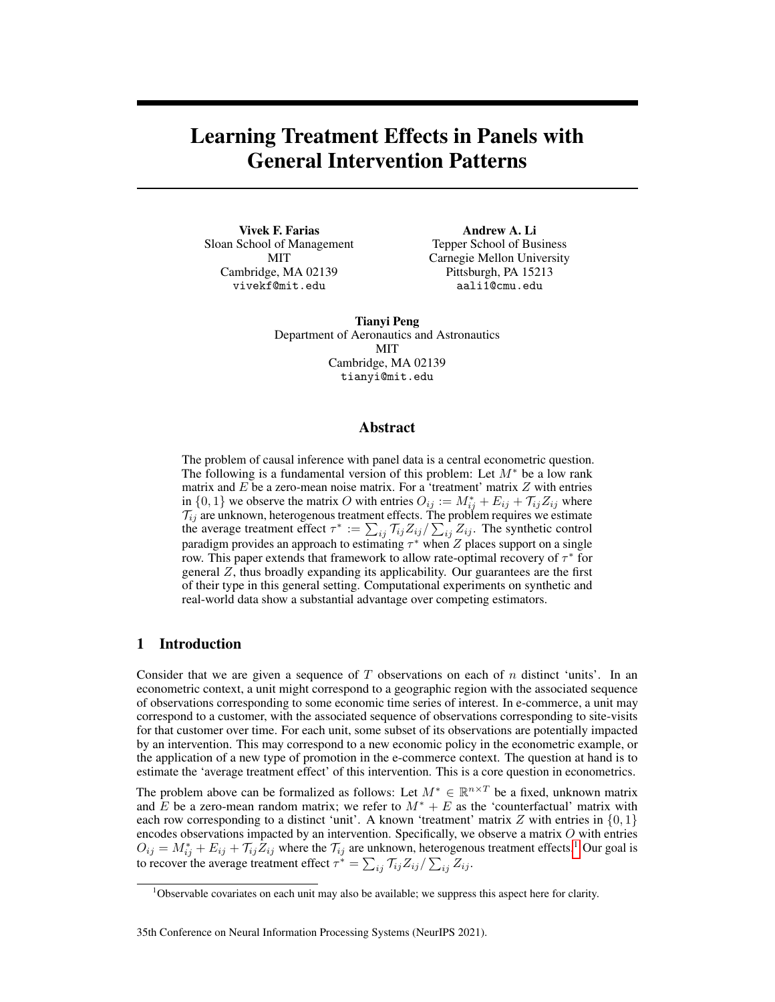# Learning Treatment Effects in Panels with General Intervention Patterns

Vivek F. Farias Sloan School of Management MIT Cambridge, MA 02139 vivekf@mit.edu

Andrew A. Li Tepper School of Business Carnegie Mellon University Pittsburgh, PA 15213 aali1@cmu.edu

Tianyi Peng Department of Aeronautics and Astronautics MIT Cambridge, MA 02139 tianyi@mit.edu

# Abstract

The problem of causal inference with panel data is a central econometric question. The following is a fundamental version of this problem: Let  $M^*$  be a low rank matrix and  $E$  be a zero-mean noise matrix. For a 'treatment' matrix  $Z$  with entries in  $\{0, 1\}$  we observe the matrix O with entries  $O_{ij} := M_{ij}^* + E_{ij} + \mathcal{T}_{ij} Z_{ij}$  where  $\mathcal{T}_{ij}$  are unknown, heterogenous treatment effects. The problem requires we estimate the average treatment effect  $\tau^* := \sum_{ij} \tau_{ij} Z_{ij} / \sum_{ij} Z_{ij}$ . The synthetic control paradigm provides an approach to estimating  $\tau^*$  when  $Z$  places support on a single row. This paper extends that framework to allow rate-optimal recovery of  $\tau^*$  for general  $Z$ , thus broadly expanding its applicability. Our guarantees are the first of their type in this general setting. Computational experiments on synthetic and real-world data show a substantial advantage over competing estimators.

# 1 Introduction

Consider that we are given a sequence of  $T$  observations on each of  $n$  distinct 'units'. In an econometric context, a unit might correspond to a geographic region with the associated sequence of observations corresponding to some economic time series of interest. In e-commerce, a unit may correspond to a customer, with the associated sequence of observations corresponding to site-visits for that customer over time. For each unit, some subset of its observations are potentially impacted by an intervention. This may correspond to a new economic policy in the econometric example, or the application of a new type of promotion in the e-commerce context. The question at hand is to estimate the 'average treatment effect' of this intervention. This is a core question in econometrics.

The problem above can be formalized as follows: Let  $M^* \in \mathbb{R}^{n \times T}$  be a fixed, unknown matrix and E be a zero-mean random matrix; we refer to  $M^* + E$  as the 'counterfactual' matrix with each row corresponding to a distinct 'unit'. A known 'treatment' matrix Z with entries in  $\{0, 1\}$ encodes observations impacted by an intervention. Specifically, we observe a matrix  $O$  with entries  $O_{ij} = M_{ij}^* + E_{ij} + \mathcal{T}_{ij} \bar{Z}_{ij}$  where the  $\mathcal{T}_{ij}$  are unknown, heterogenous treatment effects.<sup>[1](#page-0-0)</sup> Our goal is to recover the average treatment effect  $\tau^* = \sum_{ij} \mathcal{T}_{ij} Z_{ij} / \sum_{ij} Z_{ij}$ .

#### 35th Conference on Neural Information Processing Systems (NeurIPS 2021).

<span id="page-0-0"></span><sup>&</sup>lt;sup>1</sup>Observable covariates on each unit may also be available; we suppress this aspect here for clarity.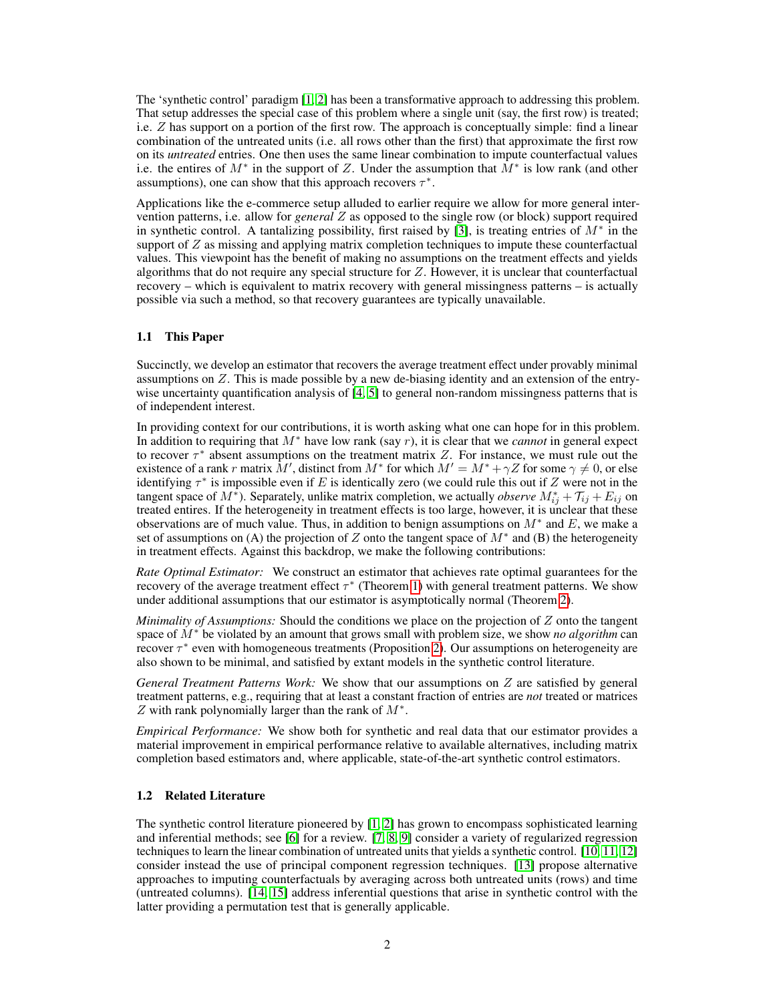The 'synthetic control' paradigm [\[1,](#page-9-0) [2\]](#page-9-1) has been a transformative approach to addressing this problem. That setup addresses the special case of this problem where a single unit (say, the first row) is treated; i.e.  $Z$  has support on a portion of the first row. The approach is conceptually simple: find a linear combination of the untreated units (i.e. all rows other than the first) that approximate the first row on its *untreated* entries. One then uses the same linear combination to impute counterfactual values i.e. the entires of  $M^*$  in the support of Z. Under the assumption that  $\tilde{M}^*$  is low rank (and other assumptions), one can show that this approach recovers  $\tau^*$ .

Applications like the e-commerce setup alluded to earlier require we allow for more general intervention patterns, i.e. allow for *general* Z as opposed to the single row (or block) support required in synthetic control. A tantalizing possibility, first raised by [\[3\]](#page-9-2), is treating entries of  $M^*$  in the support of Z as missing and applying matrix completion techniques to impute these counterfactual values. This viewpoint has the benefit of making no assumptions on the treatment effects and yields algorithms that do not require any special structure for Z. However, it is unclear that counterfactual recovery – which is equivalent to matrix recovery with general missingness patterns – is actually possible via such a method, so that recovery guarantees are typically unavailable.

### 1.1 This Paper

Succinctly, we develop an estimator that recovers the average treatment effect under provably minimal assumptions on Z. This is made possible by a new de-biasing identity and an extension of the entry-wise uncertainty quantification analysis of [\[4,](#page-9-3) [5\]](#page-9-4) to general non-random missingness patterns that is of independent interest.

In providing context for our contributions, it is worth asking what one can hope for in this problem. In addition to requiring that M<sup>∗</sup> have low rank (say r), it is clear that we *cannot* in general expect to recover  $\tau^*$  absent assumptions on the treatment matrix Z. For instance, we must rule out the existence of a rank r matrix  $\bar{M}'$ , distinct from  $M^*$  for which  $M' = M^* + \gamma Z$  for some  $\gamma \neq 0$ , or else identifying  $\tau^*$  is impossible even if E is identically zero (we could rule this out if Z were not in the tangent space of  $M^*$ ). Separately, unlike matrix completion, we actually *observe*  $M_{ij}^* + \mathcal{T}_{ij} + E_{ij}$  on treated entires. If the heterogeneity in treatment effects is too large, however, it is unclear that these observations are of much value. Thus, in addition to benign assumptions on  $M^*$  and E, we make a set of assumptions on (A) the projection of Z onto the tangent space of  $M^*$  and (B) the heterogeneity in treatment effects. Against this backdrop, we make the following contributions:

*Rate Optimal Estimator:* We construct an estimator that achieves rate optimal guarantees for the recovery of the average treatment effect  $\tau^*$  (Theorem [1\)](#page-5-0) with general treatment patterns. We show under additional assumptions that our estimator is asymptotically normal (Theorem [2\)](#page-5-1).

*Minimality of Assumptions:* Should the conditions we place on the projection of Z onto the tangent space of M<sup>∗</sup> be violated by an amount that grows small with problem size, we show *no algorithm* can recover  $\tau^*$  even with homogeneous treatments (Proposition [2\)](#page-6-0). Our assumptions on heterogeneity are also shown to be minimal, and satisfied by extant models in the synthetic control literature.

*General Treatment Patterns Work:* We show that our assumptions on Z are satisfied by general treatment patterns, e.g., requiring that at least a constant fraction of entries are *not* treated or matrices Z with rank polynomially larger than the rank of  $M^*$ .

*Empirical Performance:* We show both for synthetic and real data that our estimator provides a material improvement in empirical performance relative to available alternatives, including matrix completion based estimators and, where applicable, state-of-the-art synthetic control estimators.

#### 1.2 Related Literature

The synthetic control literature pioneered by [\[1,](#page-9-0) [2\]](#page-9-1) has grown to encompass sophisticated learning and inferential methods; see [\[6\]](#page-10-0) for a review. [\[7,](#page-10-1) [8,](#page-10-2) [9\]](#page-10-3) consider a variety of regularized regression techniques to learn the linear combination of untreated units that yields a synthetic control. [\[10,](#page-10-4) [11,](#page-10-5) [12\]](#page-10-6) consider instead the use of principal component regression techniques. [\[13\]](#page-10-7) propose alternative approaches to imputing counterfactuals by averaging across both untreated units (rows) and time (untreated columns). [\[14,](#page-10-8) [15\]](#page-10-9) address inferential questions that arise in synthetic control with the latter providing a permutation test that is generally applicable.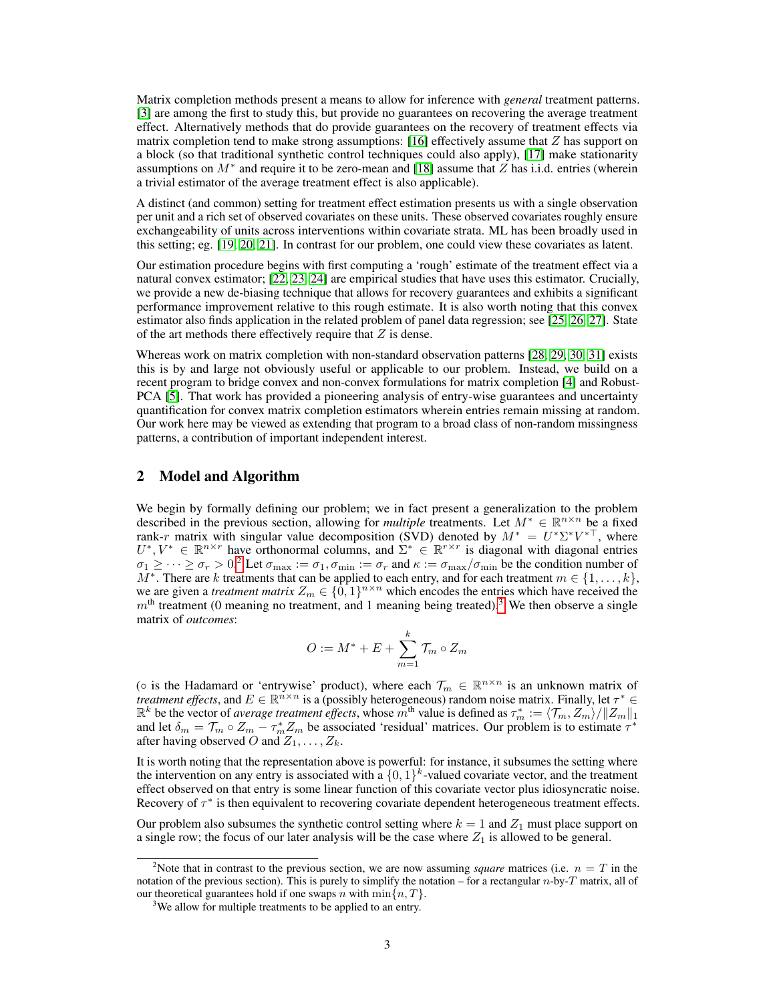Matrix completion methods present a means to allow for inference with *general* treatment patterns. [\[3\]](#page-9-2) are among the first to study this, but provide no guarantees on recovering the average treatment effect. Alternatively methods that do provide guarantees on the recovery of treatment effects via matrix completion tend to make strong assumptions:  $[16]$  effectively assume that  $Z$  has support on a block (so that traditional synthetic control techniques could also apply), [\[17\]](#page-10-11) make stationarity assumptions on  $M^*$  and require it to be zero-mean and [\[18\]](#page-10-12) assume that  $Z$  has i.i.d. entries (wherein a trivial estimator of the average treatment effect is also applicable).

A distinct (and common) setting for treatment effect estimation presents us with a single observation per unit and a rich set of observed covariates on these units. These observed covariates roughly ensure exchangeability of units across interventions within covariate strata. ML has been broadly used in this setting; eg. [\[19,](#page-10-13) [20,](#page-10-14) [21\]](#page-10-15). In contrast for our problem, one could view these covariates as latent.

Our estimation procedure begins with first computing a 'rough' estimate of the treatment effect via a natural convex estimator; [\[22,](#page-10-16) [23,](#page-10-17) [24\]](#page-10-18) are empirical studies that have uses this estimator. Crucially, we provide a new de-biasing technique that allows for recovery guarantees and exhibits a significant performance improvement relative to this rough estimate. It is also worth noting that this convex estimator also finds application in the related problem of panel data regression; see [\[25,](#page-10-19) [26,](#page-11-0) [27\]](#page-11-1). State of the art methods there effectively require that  $Z$  is dense.

Whereas work on matrix completion with non-standard observation patterns [\[28,](#page-11-2) [29,](#page-11-3) [30,](#page-11-4) [31\]](#page-11-5) exists this is by and large not obviously useful or applicable to our problem. Instead, we build on a recent program to bridge convex and non-convex formulations for matrix completion [\[4\]](#page-9-3) and Robust-PCA [\[5\]](#page-9-4). That work has provided a pioneering analysis of entry-wise guarantees and uncertainty quantification for convex matrix completion estimators wherein entries remain missing at random. Our work here may be viewed as extending that program to a broad class of non-random missingness patterns, a contribution of important independent interest.

# 2 Model and Algorithm

We begin by formally defining our problem; we in fact present a generalization to the problem described in the previous section, allowing for *multiple* treatments. Let  $M^* \in \mathbb{R}^{n \times n}$  be a fixed rank-r matrix with singular value decomposition (SVD) denoted by  $M^* = U^* \Sigma^* V^{*T}$ , where  $U^*, V^* \in \mathbb{R}^{n \times r}$  have orthonormal columns, and  $\Sigma^* \in \mathbb{R}^{r \times r}$  is diagonal with diagonal entries  $\sigma_1 \ge \dots \ge \sigma_r > 0$ <sup>[2](#page-2-0)</sup> Let  $\sigma_{\max} := \sigma_1$ ,  $\sigma_{\min} := \sigma_r$  and  $\kappa := \sigma_{\max}/\sigma_{\min}$  be the condition number of  $M^*$ . There are k treatments that can be applied to each entry, and for each treatment  $m \in \{1, \ldots, k\}$ , we are given a *treatment matrix*  $Z_m \in \{0,1\}^{n \times n}$  which encodes the entries which have received the  $m<sup>th</sup>$  treatment (0 meaning no treatment, and 1 meaning being treated).<sup>[3](#page-2-1)</sup> We then observe a single matrix of *outcomes*:

$$
O := M^* + E + \sum_{m=1}^k \mathcal{T}_m \circ Z_m
$$

( $\circ$  is the Hadamard or 'entrywise' product), where each  $\mathcal{T}_m \in \mathbb{R}^{n \times n}$  is an unknown matrix of *treatment effects*, and  $E \in \mathbb{R}^{n \times n}$  is a (possibly heterogeneous) random noise matrix. Finally, let  $\tau^* \in$  $\mathbb{R}^k$  be the vector of *average treatment effects*, whose  $m^{\text{th}}$  value is defined as  $\tau_m^* := \langle \mathcal{T}_m, Z_m \rangle / ||Z_m||_1$ and let  $\delta_m = \mathcal{T}_m \circ Z_m - \tau_m^* Z_m$  be associated 'residual' matrices. Our problem is to estimate  $\tau^*$ after having observed O and  $Z_1, \ldots, Z_k$ .

It is worth noting that the representation above is powerful: for instance, it subsumes the setting where the intervention on any entry is associated with a  $\{0,1\}^k$ -valued covariate vector, and the treatment effect observed on that entry is some linear function of this covariate vector plus idiosyncratic noise. Recovery of  $\tau^*$  is then equivalent to recovering covariate dependent heterogeneous treatment effects.

Our problem also subsumes the synthetic control setting where  $k = 1$  and  $Z_1$  must place support on a single row; the focus of our later analysis will be the case where  $Z_1$  is allowed to be general.

<span id="page-2-0"></span><sup>&</sup>lt;sup>2</sup>Note that in contrast to the previous section, we are now assuming *square* matrices (i.e.  $n = T$  in the notation of the previous section). This is purely to simplify the notation – for a rectangular  $n$ -by-T matrix, all of our theoretical guarantees hold if one swaps n with  $\min\{n, T\}$ .

<span id="page-2-1"></span><sup>&</sup>lt;sup>3</sup>We allow for multiple treatments to be applied to an entry.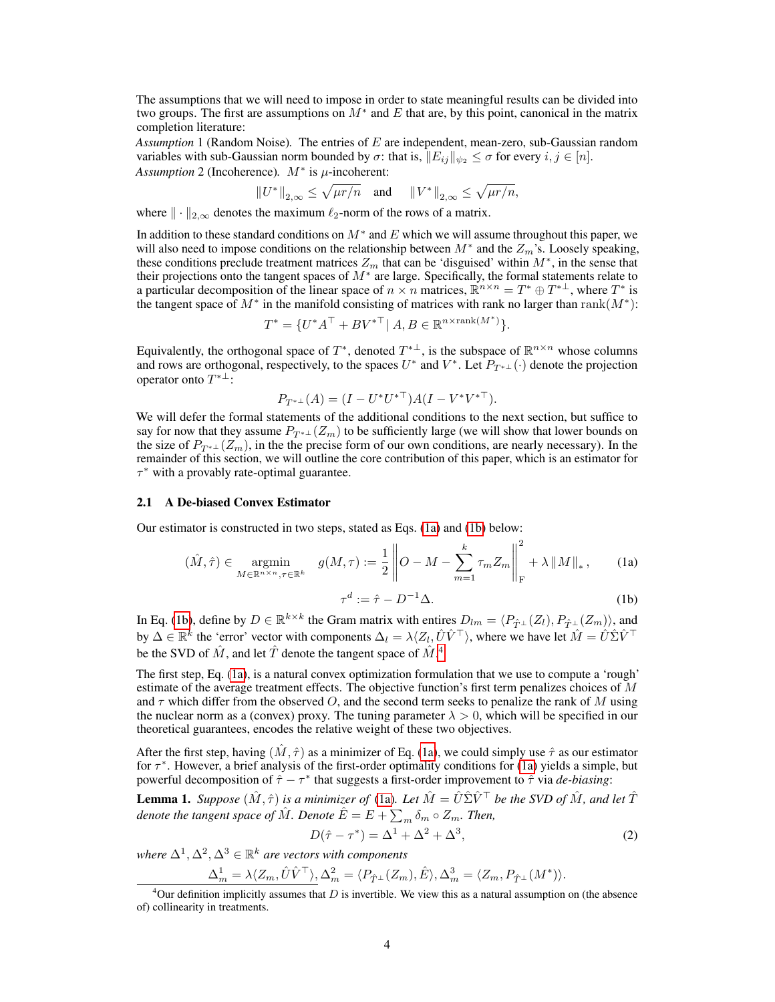The assumptions that we will need to impose in order to state meaningful results can be divided into two groups. The first are assumptions on  $M^*$  and E that are, by this point, canonical in the matrix completion literature:

*Assumption* 1 (Random Noise)*.* The entries of E are independent, mean-zero, sub-Gaussian random variables with sub-Gaussian norm bounded by  $\sigma$ : that is,  $||E_{ij}||_{\psi_2} \leq \sigma$  for every  $i, j \in [n]$ . *Assumption* 2 (Incoherence).  $M^*$  is  $\mu$ -incoherent:

$$
||U^*||_{2,\infty} \le \sqrt{\mu r/n} \quad \text{and} \quad ||V^*||_{2,\infty} \le \sqrt{\mu r/n},
$$

where  $\|\cdot\|_{2,\infty}$  denotes the maximum  $\ell_2$ -norm of the rows of a matrix.

In addition to these standard conditions on  $M^*$  and  $E$  which we will assume throughout this paper, we will also need to impose conditions on the relationship between  $M^*$  and the  $Z_m$ 's. Loosely speaking, these conditions preclude treatment matrices  $Z_m$  that can be 'disguised' within  $M^*$ , in the sense that their projections onto the tangent spaces of  $M^*$  are large. Specifically, the formal statements relate to a particular decomposition of the linear space of  $n \times n$  matrices,  $\mathbb{R}^{n \times n} = T^* \oplus T^{*\perp}$ , where  $T^*$  is the tangent space of  $M^*$  in the manifold consisting of matrices with rank no larger than rank $(M^*)$ :

$$
T^* = \{ U^* A^\top + B V^{*\top} | A, B \in \mathbb{R}^{n \times \text{rank}(M^*)} \}.
$$

Equivalently, the orthogonal space of  $T^*$ , denoted  $T^{*\perp}$ , is the subspace of  $\mathbb{R}^{n \times n}$  whose columns and rows are orthogonal, respectively, to the spaces  $U^*$  and  $V^*$ . Let  $P_{T^{*\perp}}(\cdot)$  denote the projection operator onto  $T^{*\perp}$ :

$$
P_{T^{*+}}(A) = (I - U^* U^{*+} )A (I - V^* V^{*+} ).
$$

We will defer the formal statements of the additional conditions to the next section, but suffice to say for now that they assume  $P_{T^*} \bot (Z_m)$  to be sufficiently large (we will show that lower bounds on the size of  $P_{T^{*} \perp} (Z_m)$ , in the the precise form of our own conditions, are nearly necessary). In the remainder of this section, we will outline the core contribution of this paper, which is an estimator for  $\tau^*$  with a provably rate-optimal guarantee.

#### 2.1 A De-biased Convex Estimator

Our estimator is constructed in two steps, stated as Eqs. [\(1a\)](#page-3-0) and [\(1b\)](#page-3-1) below:

$$
(\hat{M}, \hat{\tau}) \in \underset{M \in \mathbb{R}^{n \times n}, \tau \in \mathbb{R}^k}{\operatorname{argmin}} \quad g(M, \tau) := \frac{1}{2} \left\| O - M - \sum_{m=1}^k \tau_m Z_m \right\|_{\mathcal{F}}^2 + \lambda \left\| M \right\|_*, \tag{1a}
$$

<span id="page-3-1"></span><span id="page-3-0"></span>
$$
\tau^d := \hat{\tau} - D^{-1} \Delta. \tag{1b}
$$

In Eq. [\(1b\)](#page-3-1), define by  $D \in \mathbb{R}^{k \times k}$  the Gram matrix with entires  $D_{lm} = \langle P_{\hat{T}^{\perp}}(Z_l), P_{\hat{T}^{\perp}}(Z_m) \rangle$ , and by  $\Delta \in \mathbb{R}^k$  the 'error' vector with components  $\Delta_l = \lambda \langle Z_l, \hat{U}\hat{V}^\top \rangle$ , where we have let  $\hat{M} = \hat{U}\hat{\Sigma}\hat{V}^\top$ be the SVD of  $\hat{M}$ , and let  $\hat{T}$  denote the tangent space of  $\hat{M}$ .<sup>[4](#page-3-2)</sup>

The first step, Eq. [\(1a\)](#page-3-0), is a natural convex optimization formulation that we use to compute a 'rough' estimate of the average treatment effects. The objective function's first term penalizes choices of  $M$ and  $\tau$  which differ from the observed O, and the second term seeks to penalize the rank of M using the nuclear norm as a (convex) proxy. The tuning parameter  $\lambda > 0$ , which will be specified in our theoretical guarantees, encodes the relative weight of these two objectives.

After the first step, having  $(M, \hat{\tau})$  as a minimizer of Eq. [\(1a\)](#page-3-0), we could simply use  $\hat{\tau}$  as our estimator for  $\tau^*$ . However, a brief analysis of the first-order optimality conditions for [\(1a\)](#page-3-0) yields a simple, but powerful decomposition of  $\hat{\tau} - \tau^*$  that suggests a first-order improvement to  $\hat{\tau}$  via *de-biasing*:

<span id="page-3-3"></span>**Lemma 1.** *Suppose*  $(\hat{M}, \hat{\tau})$  *is a minimizer of* [\(1a\)](#page-3-0). Let  $\hat{M} = \hat{U}\hat{\Sigma}\hat{V}^{\top}$  *be the SVD of*  $\hat{M}$ *, and let*  $\hat{T}$ *denote the tangent space of*  $\hat{M}$ *. Denote*  $\hat{E} = E + \sum_{m} \delta_{m} \circ Z_{m}$ *. Then,* 

$$
D(\hat{\tau} - \tau^*) = \Delta^1 + \Delta^2 + \Delta^3,\tag{2}
$$

where  $\Delta^1, \Delta^2, \Delta^3 \in \mathbb{R}^k$  are vectors with components

$$
\Delta_m^1 = \lambda \langle Z_m, \hat{U}\hat{V}^\top \rangle, \Delta_m^2 = \langle P_{\hat{T}^\perp}(Z_m), \hat{E} \rangle, \Delta_m^3 = \langle Z_m, P_{\hat{T}^\perp}(M^*) \rangle.
$$

<span id="page-3-2"></span><sup>&</sup>lt;sup>4</sup>Our definition implicitly assumes that D is invertible. We view this as a natural assumption on (the absence of) collinearity in treatments.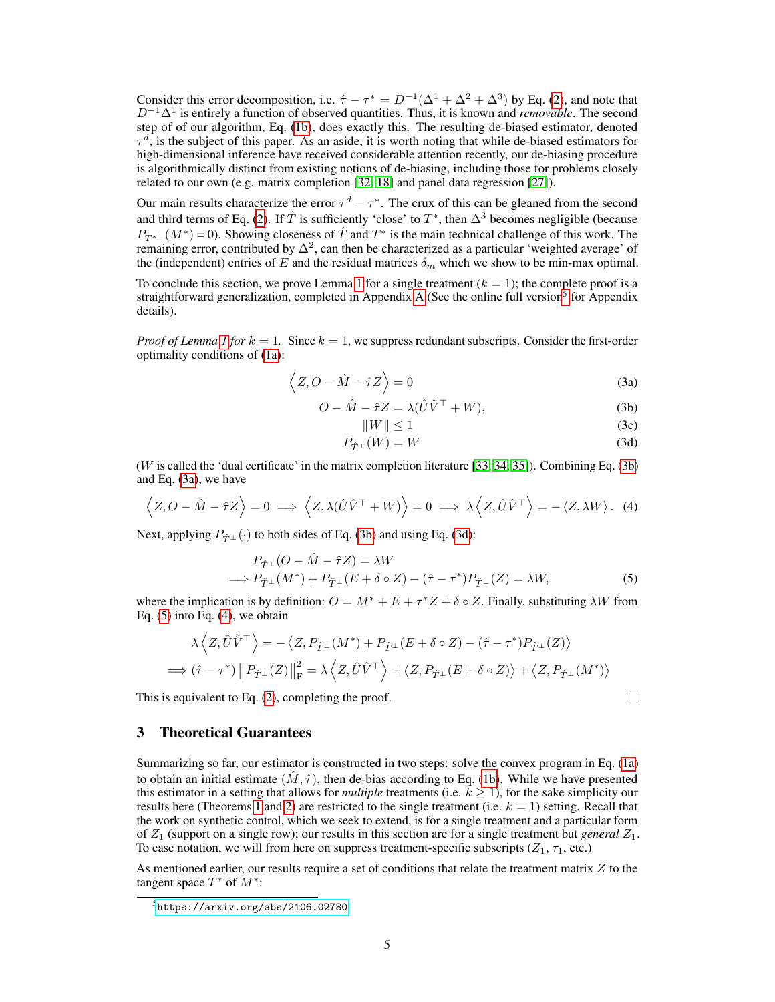Consider this error decomposition, i.e.  $\hat{\tau} - \tau^* = D^{-1}(\Delta^1 + \Delta^2 + \Delta^3)$  by Eq. [\(2\)](#page-3-1), and note that D−1∆<sup>1</sup> is entirely a function of observed quantities. Thus, it is known and *removable*. The second step of of our algorithm, Eq. [\(1b\)](#page-3-1), does exactly this. The resulting de-biased estimator, denoted  $\tau^d$ , is the subject of this paper. As an aside, it is worth noting that while de-biased estimators for high-dimensional inference have received considerable attention recently, our de-biasing procedure is algorithmically distinct from existing notions of de-biasing, including those for problems closely related to our own (e.g. matrix completion [\[32,](#page-11-6) [18\]](#page-10-12) and panel data regression [\[27\]](#page-11-1)).

Our main results characterize the error  $\tau^d - \tau^*$ . The crux of this can be gleaned from the second and third terms of Eq. [\(2\)](#page-3-1). If  $\hat{T}$  is sufficiently 'close' to  $T^*$ , then  $\Delta^3$  becomes negligible (because  $P_{T^{*\perp}}(M^*) = 0$ ). Showing closeness of  $\hat{T}$  and  $T^*$  is the main technical challenge of this work. The remaining error, contributed by  $\Delta^2$ , can then be characterized as a particular 'weighted average' of the (independent) entries of E and the residual matrices  $\delta_m$  which we show to be min-max optimal.

To conclude this section, we prove Lemma [1](#page-3-3) for a single treatment  $(k = 1)$ ; the complete proof is a straightforward generalization, completed in [A](#page--1-0)ppendix A (See the online full version<sup>[5](#page-4-0)</sup> for Appendix details).

*Proof of Lemma [1](#page-3-3) for*  $k = 1$ . Since  $k = 1$ , we suppress redundant subscripts. Consider the first-order optimality conditions of [\(1a\)](#page-3-0):

$$
\langle Z, O - \hat{M} - \hat{\tau} Z \rangle = 0 \tag{3a}
$$

$$
O - \hat{M} - \hat{\tau}Z = \lambda(\hat{U}\hat{V}^{\top} + W), \tag{3b}
$$

<span id="page-4-1"></span>
$$
||W|| \le 1 \tag{3c}
$$

<span id="page-4-2"></span> $\Box$ 

$$
P_{\hat{T}^{\perp}}(W) = W \tag{3d}
$$

(W is called the 'dual certificate' in the matrix completion literature [\[33,](#page-11-7) [34,](#page-11-8) [35\]](#page-11-9)). Combining Eq. [\(3b\)](#page-3-1) and Eq. [\(3a\)](#page-3-0), we have

$$
\langle Z, O - \hat{M} - \hat{\tau} Z \rangle = 0 \implies \langle Z, \lambda (\hat{U} \hat{V}^{\top} + W) \rangle = 0 \implies \lambda \langle Z, \hat{U} \hat{V}^{\top} \rangle = - \langle Z, \lambda W \rangle. \tag{4}
$$

Next, applying  $P_{\hat{T}}$ <sub>⊥</sub> (·) to both sides of Eq. [\(3b\)](#page-3-1) and using Eq. [\(3d\)](#page-4-1):

$$
P_{\hat{T}^{\perp}}(O - \hat{M} - \hat{\tau}Z) = \lambda W
$$
  
\n
$$
\implies P_{\hat{T}^{\perp}}(M^*) + P_{\hat{T}^{\perp}}(E + \delta \circ Z) - (\hat{\tau} - \tau^*)P_{\hat{T}^{\perp}}(Z) = \lambda W,
$$
\n(5)

where the implication is by definition:  $O = M^* + E + \tau^* Z + \delta \circ Z$ . Finally, substituting  $\lambda W$  from Eq.  $(5)$  into Eq.  $(4)$ , we obtain

$$
\lambda \langle Z, \hat{U}\hat{V}^{\top} \rangle = -\langle Z, P_{\hat{T}^{\perp}}(M^*) + P_{\hat{T}^{\perp}}(E + \delta \circ Z) - (\hat{\tau} - \tau^*)P_{\hat{T}^{\perp}}(Z) \rangle
$$
  
\n
$$
\implies (\hat{\tau} - \tau^*) || P_{\hat{T}^{\perp}}(Z) ||_F^2 = \lambda \langle Z, \hat{U}\hat{V}^{\top} \rangle + \langle Z, P_{\hat{T}^{\perp}}(E + \delta \circ Z) \rangle + \langle Z, P_{\hat{T}^{\perp}}(M^*) \rangle
$$

This is equivalent to Eq. [\(2\)](#page-3-1), completing the proof.

# 3 Theoretical Guarantees

Summarizing so far, our estimator is constructed in two steps: solve the convex program in Eq. [\(1a\)](#page-3-0) to obtain an initial estimate  $(\hat{M}, \hat{\tau})$ , then de-bias according to Eq. [\(1b\)](#page-3-1). While we have presented this estimator in a setting that allows for *multiple* treatments (i.e.  $k \geq 1$ ), for the sake simplicity our results here (Theorems [1](#page-5-0) and [2\)](#page-5-1) are restricted to the single treatment (i.e.  $k = 1$ ) setting. Recall that the work on synthetic control, which we seek to extend, is for a single treatment and a particular form of  $Z_1$  (support on a single row); our results in this section are for a single treatment but *general*  $Z_1$ . To ease notation, we will from here on suppress treatment-specific subscripts ( $Z_1$ ,  $\tau_1$ , etc.)

As mentioned earlier, our results require a set of conditions that relate the treatment matrix  $Z$  to the tangent space  $T^*$  of  $M^*$ :

<span id="page-4-3"></span><span id="page-4-0"></span> $5$ <https://arxiv.org/abs/2106.02780>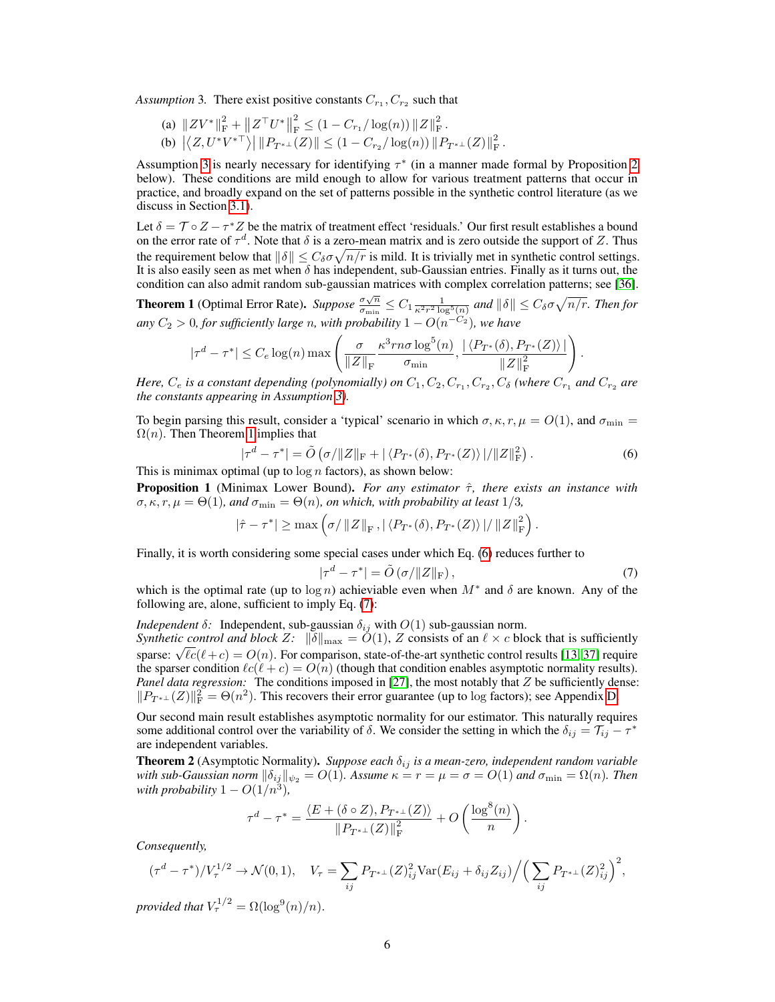Assumption 3. There exist positive constants  $C_{r_1}, C_{r_2}$  such that

(a)  $\| ZV^* \|_{\text{F}}^2 + \| Z^\top U^* \|$ 2  $\frac{2}{\mathrm{F}} \leq (1 - C_{r_1} / \log(n)) ||Z||_{\mathrm{F}}^2.$ (b)  $|\langle Z, U^*V^{*\top}\rangle| ||P_{T^{*\perp}}(Z)|| \leq (1 - C_{r_2}/\log(n)) ||P_{T^{*\perp}}(Z)||_F^2$ .

Assumption [3](#page-4-3) is nearly necessary for identifying  $\tau^*$  (in a manner made formal by Proposition [2](#page-6-0) below). These conditions are mild enough to allow for various treatment patterns that occur in practice, and broadly expand on the set of patterns possible in the synthetic control literature (as we discuss in Section [3.1\)](#page-6-1).

Let  $\delta = \mathcal{T} \circ Z - \tau^* Z$  be the matrix of treatment effect 'residuals.' Our first result establishes a bound on the error rate of  $\tau^d$ . Note that  $\delta$  is a zero-mean matrix and is zero outside the support of Z. Thus the requirement below that  $\|\delta\| \leq C_\delta \sigma \sqrt{n/r}$  is mild. It is trivially met in synthetic control settings. It is also easily seen as met when  $\delta$  has independent, sub-Gaussian entries. Finally as it turns out, the condition can also admit random sub-gaussian matrices with complex correlation patterns; see [\[36\]](#page-11-10).

<span id="page-5-0"></span>**Theorem 1** (Optimal Error Rate). *Suppose*  $\frac{\sigma \sqrt{n}}{\sigma}$  $\frac{\sigma\sqrt{n}}{\sigma_{\min}}\leq C_1\frac{1}{\kappa^2r^2\log^5(n)}$  and  $\|\delta\|\leq C_\delta\sigma\sqrt{n/r}.$  Then for *any*  $C_2 > 0$ , for sufficiently large n, with probability  $1 - O(n^{-C_2})$ , we have

$$
|\tau^d - \tau^*| \le C_e \log(n) \max\left(\frac{\sigma}{\|Z\|_{\mathrm{F}}} \frac{\kappa^3 r n \sigma \log^5(n)}{\sigma_{\min}}, \frac{|\langle P_{T^*}(\delta), P_{T^*}(Z) \rangle|}{\|Z\|_{\mathrm{F}}^2}\right)
$$

*Here,*  $C_e$  is a constant depending (polynomially) on  $C_1, C_2, C_{r_1}, C_{r_2}, C_{\delta}$  (where  $C_{r_1}$  and  $C_{r_2}$  are *the constants appearing in Assumption [3\)](#page-4-3).*

To begin parsing this result, consider a 'typical' scenario in which  $\sigma, \kappa, r, \mu = O(1)$ , and  $\sigma_{\min} =$  $\Omega(n)$ . Then Theorem [1](#page-5-0) implies that

<span id="page-5-2"></span>
$$
|\tau^d - \tau^*| = \tilde{O}\left(\sigma / \|Z\|_{\mathcal{F}} + |\langle P_{T^*}(\delta), P_{T^*}(Z)\rangle| / \|Z\|_{\mathcal{F}}^2\right).
$$
\n(6)

This is minimax optimal (up to  $\log n$  factors), as shown below:

Proposition 1 (Minimax Lower Bound). *For any estimator* τˆ*, there exists an instance with*  $\sigma$ ,  $\kappa$ ,  $r$ ,  $\mu = \Theta(1)$ , and  $\sigma_{\min} = \Theta(n)$ , on which, with probability at least 1/3,

$$
|\hat{\tau} - \tau^*| \ge \max\left(\sigma / \|Z\|_{\mathrm{F}} , |\langle P_{T^*}(\delta), P_{T^*}(Z)\rangle| / \|Z\|_{\mathrm{F}}^2\right).
$$

Finally, it is worth considering some special cases under which Eq. [\(6\)](#page-5-2) reduces further to

$$
|\tau^d - \tau^*| = \tilde{O}\left(\frac{\sigma}{\|Z\|_{\mathrm{F}}}\right),\tag{7}
$$

.

<span id="page-5-3"></span>.

which is the optimal rate (up to  $\log n$ ) achieviable even when  $M^*$  and  $\delta$  are known. Any of the following are, alone, sufficient to imply Eq. [\(7\)](#page-5-3):

*Independent*  $\delta$ : Independent, sub-gaussian  $\delta_{ij}$  with  $O(1)$  sub-gaussian norm. *Synthetic control and block*  $Z: \| \delta \|_{\max} = O(1)$ ,  $Z$  consists of an  $\ell \times c$  block that is sufficiently Symmetric control and block  $\sum |\theta|_{\text{max}} = O(1)$ ,  $\sum$  consists of an  $\ell \times c$  block that is sufficiently sparse:  $\sqrt{c}(\ell + c) = O(n)$ . For comparison, state-of-the-art synthetic control results [\[13,](#page-10-7) [37\]](#page-11-11) require the sparser condition  $\ell c(\ell + c) = O(n)$  (though that condition enables asymptotic normality results). *Panel data regression:* The conditions imposed in [\[27\]](#page-11-1), the most notably that Z be sufficiently dense:  $||P_{T^{*+}}(Z)||_F^2 = \Theta(n^2)$ . This recovers their error guarantee (up to log factors); see Appendix [D.](#page--1-1)

Our second main result establishes asymptotic normality for our estimator. This naturally requires some additional control over the variability of  $\delta$ . We consider the setting in which the  $\delta_{ij} = \overline{\tau_{ij}} - \tau^*$ are independent variables.

<span id="page-5-1"></span>**Theorem 2** (Asymptotic Normality). *Suppose each*  $\delta_{ij}$  *is a mean-zero, independent random variable with sub-Gaussian norm*  $\|\delta_{ij}\|_{\psi_2} = O(1)$ *. Assume*  $\kappa = r = \mu = \sigma = O(1)$  *and*  $\sigma_{\min} = \Omega(n)$ *. Then with probability*  $1 - O(1/n^3)$ ,

$$
\tau^d-\tau^*=\frac{\langle E+(\delta\circ Z),P_{T^{*\perp}}(Z)\rangle}{\|P_{T^{*\perp}}(Z)\|_{\rm F}^2}+O\left(\frac{\log^8(n)}{n}\right)
$$

*Consequently,*

$$
(\tau^d - \tau^*)/V_{\tau}^{1/2} \to \mathcal{N}(0, 1), \quad V_{\tau} = \sum_{ij} P_{T^{*+}}(Z)_{ij}^2 \text{Var}(E_{ij} + \delta_{ij} Z_{ij}) / \left(\sum_{ij} P_{T^{*+}}(Z)_{ij}^2\right)^2,
$$

*provided that*  $V_\tau^{1/2} = \Omega(\log^9(n)/n)$ .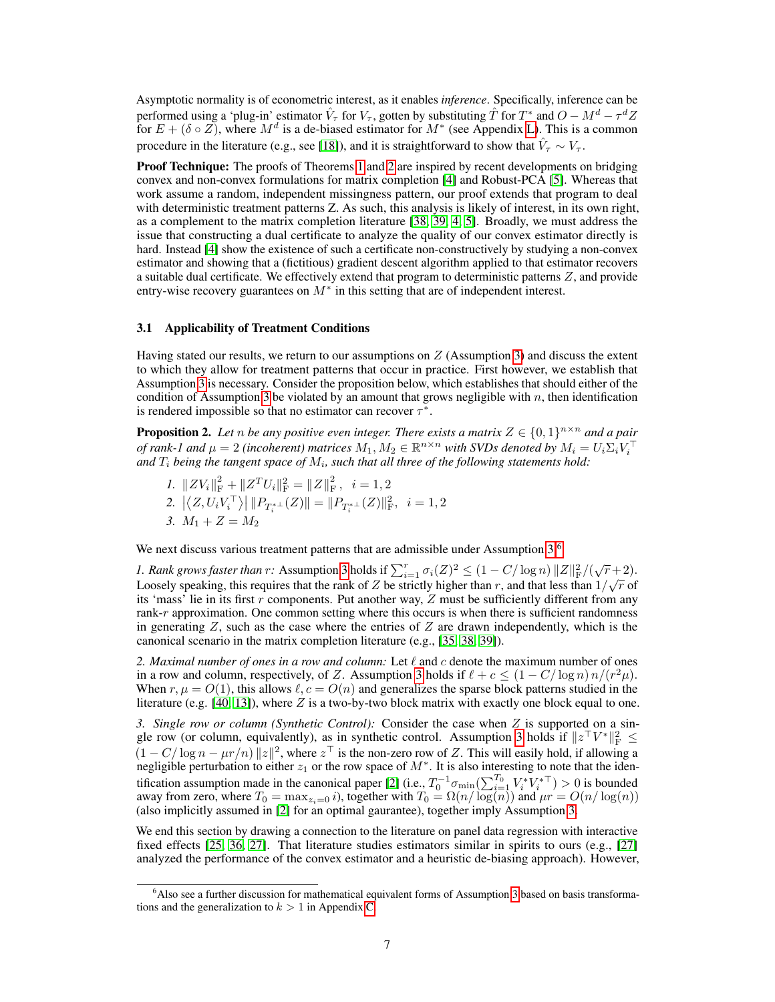Asymptotic normality is of econometric interest, as it enables *inference*. Specifically, inference can be performed using a 'plug-in' estimator  $\hat{V}_{\tau}$  for  $V_{\tau}$ , gotten by substituting  $\hat{T}$  for  $T^*$  and  $O - M^d - \tau^d Z$ for  $E + (\delta \circ Z)$ , where  $M^d$  is a de-biased estimator for  $M^*$  (see Appendix [L\)](#page--1-2). This is a common procedure in the literature (e.g., see [\[18\]](#page-10-12)), and it is straightforward to show that  $\hat{V}_{\tau} \sim V_{\tau}$ .

Proof Technique: The proofs of Theorems [1](#page-5-0) and [2](#page-5-1) are inspired by recent developments on bridging convex and non-convex formulations for matrix completion [\[4\]](#page-9-3) and Robust-PCA [\[5\]](#page-9-4). Whereas that work assume a random, independent missingness pattern, our proof extends that program to deal with deterministic treatment patterns Z. As such, this analysis is likely of interest, in its own right, as a complement to the matrix completion literature [\[38,](#page-11-12) [39,](#page-11-13) [4,](#page-9-3) [5\]](#page-9-4). Broadly, we must address the issue that constructing a dual certificate to analyze the quality of our convex estimator directly is hard. Instead [\[4\]](#page-9-3) show the existence of such a certificate non-constructively by studying a non-convex estimator and showing that a (fictitious) gradient descent algorithm applied to that estimator recovers a suitable dual certificate. We effectively extend that program to deterministic patterns Z, and provide entry-wise recovery guarantees on  $M^*$  in this setting that are of independent interest.

#### <span id="page-6-1"></span>3.1 Applicability of Treatment Conditions

Having stated our results, we return to our assumptions on  $Z$  (Assumption [3\)](#page-4-3) and discuss the extent to which they allow for treatment patterns that occur in practice. First however, we establish that Assumption [3](#page-4-3) is necessary. Consider the proposition below, which establishes that should either of the condition of Assumption [3](#page-4-3) be violated by an amount that grows negligible with  $n$ , then identification is rendered impossible so that no estimator can recover  $\tau^*$ .

<span id="page-6-0"></span>**Proposition 2.** Let n be any positive even integer. There exists a matrix  $Z \in \{0,1\}^{n \times n}$  and a pair of rank-1 and  $\mu = 2$  (incoherent) matrices  $M_1, M_2 \in \mathbb{R}^{n \times n}$  with SVDs denoted by  $M_i = U_i \Sigma_i V_i^{\top}$ <br>and  $T_i$  being the tangent space of  $M_i$ , such that all three of the following statements hold:

*1.*  $||ZV_i||_F^2 + ||Z^T U_i||_F^2 = ||Z||_F^2$ ,  $i = 1, 2$ 2.  $|\langle Z, U_i V_i^{\top} \rangle| \| P_{T_i^{* \perp}}(Z) \| = \| P_{T_i^{* \perp}}(Z) \|_F^2$ ,  $i = 1, 2$ *3.*  $M_1 + Z = M_2$ 

We next discuss various treatment patterns that are admissible under Assumption  $3$ :<sup>[6](#page-6-2)</sup>

*1. Rank grows faster than r:* Assumption [3](#page-4-3) holds if  $\sum_{i=1}^{r} \sigma_i(Z)^2 \leq (1 - C/\log n) ||Z||_F^2/(\sqrt{r}+2)$ . Loosely speaking, this requires that the rank of Z be strictly higher than r, and that less than  $1/\sqrt{r}$  of its 'mass' lie in its first  $r$  components. Put another way,  $Z$  must be sufficiently different from any rank-r approximation. One common setting where this occurs is when there is sufficient randomness in generating  $Z$ , such as the case where the entries of  $Z$  are drawn independently, which is the canonical scenario in the matrix completion literature (e.g., [\[35,](#page-11-9) [38,](#page-11-12) [39\]](#page-11-13)).

2. Maximal number of ones in a row and column: Let  $\ell$  and  $c$  denote the maximum number of ones in a row and column, respectively, of Z. Assumption [3](#page-4-3) holds if  $\ell + c \leq (1 - C/\log n) n/(r^2\mu)$ . When  $r, \mu = O(1)$ , this allows  $\ell, c = O(n)$  and generalizes the sparse block patterns studied in the literature (e.g.  $[40, 13]$  $[40, 13]$ ), where Z is a two-by-two block matrix with exactly one block equal to one.

*3. Single row or column (Synthetic Control):* Consider the case when Z is supported on a sin-gle row (or column, equivalently), as in synthetic control. Assumption [3](#page-4-3) holds if  $||z^{\top}V^*||_F^2 \le$  $(1 - C/\log n - \mu r/n) ||z||^2$ , where  $z^\top$  is the non-zero row of Z. This will easily hold, if allowing a negligible perturbation to either  $z_1$  or the row space of  $M^*$ . It is also interesting to note that the iden-tification assumption made in the canonical paper [\[2\]](#page-9-1) (i.e.,  $T_0^{-1} \sigma_{\min}(\sum_{i=1}^{T_0} V_i^* V_i^{*\top}) > 0$  is bounded away from zero, where  $T_0 = \max_{z_i=0} i$ ), together with  $T_0 = \Omega(n/\log(n))$  and  $\mu r = O(n/\log(n))$ (also implicitly assumed in [\[2\]](#page-9-1) for an optimal gaurantee), together imply Assumption [3.](#page-4-3)

We end this section by drawing a connection to the literature on panel data regression with interactive fixed effects [\[25,](#page-10-19) [36,](#page-11-10) [27\]](#page-11-1). That literature studies estimators similar in spirits to ours (e.g., [\[27\]](#page-11-1) analyzed the performance of the convex estimator and a heuristic de-biasing approach). However,

<span id="page-6-2"></span><sup>&</sup>lt;sup>6</sup>Also see a further discussion for mathematical equivalent forms of Assumption [3](#page-4-3) based on basis transformations and the generalization to  $k > 1$  in Appendix [C.](#page--1-3)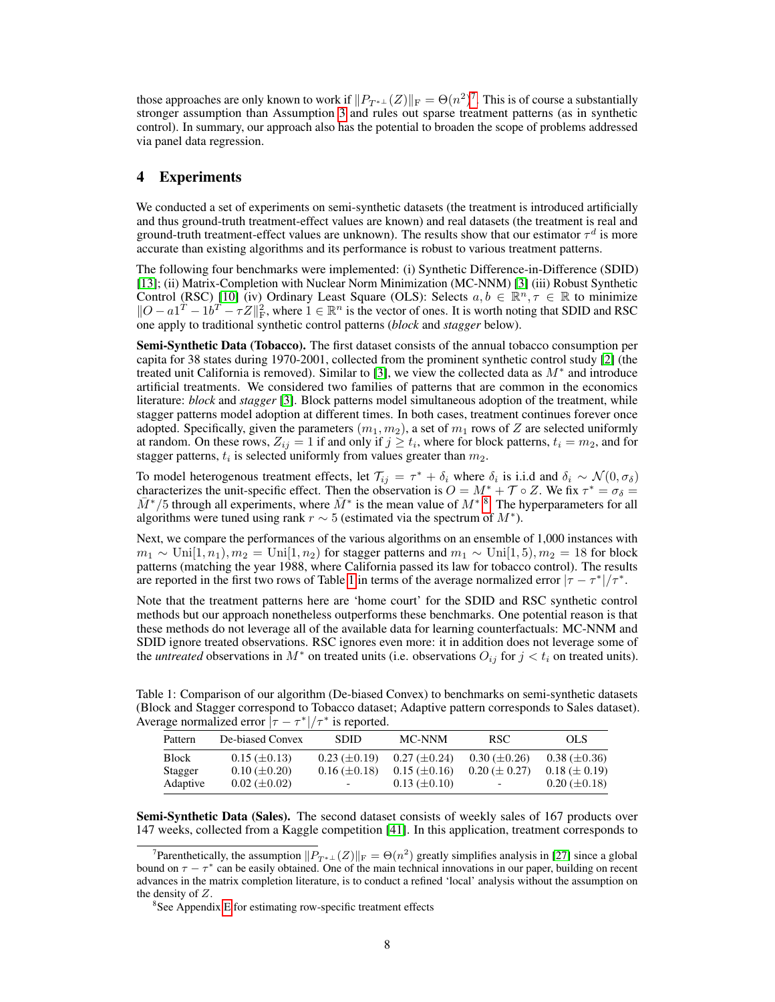those approaches are only known to work if  $||P_{T^{*\perp}}(Z)||_F = \Theta(n^2)^7$  $||P_{T^{*\perp}}(Z)||_F = \Theta(n^2)^7$ . This is of course a substantially stronger assumption than Assumption [3](#page-4-3) and rules out sparse treatment patterns (as in synthetic control). In summary, our approach also has the potential to broaden the scope of problems addressed via panel data regression.

# 4 Experiments

We conducted a set of experiments on semi-synthetic datasets (the treatment is introduced artificially and thus ground-truth treatment-effect values are known) and real datasets (the treatment is real and ground-truth treatment-effect values are unknown). The results show that our estimator  $\tau^d$  is more accurate than existing algorithms and its performance is robust to various treatment patterns.

The following four benchmarks were implemented: (i) Synthetic Difference-in-Difference (SDID) [\[13\]](#page-10-7); (ii) Matrix-Completion with Nuclear Norm Minimization (MC-NNM) [\[3\]](#page-9-2) (iii) Robust Synthetic Control (RSC) [\[10\]](#page-10-4) (iv) Ordinary Least Square (OLS): Selects  $a, b \in \mathbb{R}^n, \tau \in \mathbb{R}$  to minimize  $||O-a1^T - 1b^T - \tau Z||_F^2$ , where  $1 \in \mathbb{R}^n$  is the vector of ones. It is worth noting that SDID and RSC one apply to traditional synthetic control patterns (*block* and *stagger* below).

Semi-Synthetic Data (Tobacco). The first dataset consists of the annual tobacco consumption per capita for 38 states during 1970-2001, collected from the prominent synthetic control study [\[2\]](#page-9-1) (the treated unit California is removed). Similar to [\[3\]](#page-9-2), we view the collected data as  $M^*$  and introduce artificial treatments. We considered two families of patterns that are common in the economics literature: *block* and *stagger* [\[3\]](#page-9-2). Block patterns model simultaneous adoption of the treatment, while stagger patterns model adoption at different times. In both cases, treatment continues forever once adopted. Specifically, given the parameters  $(m_1, m_2)$ , a set of  $m_1$  rows of  $Z$  are selected uniformly at random. On these rows,  $Z_{ij} = 1$  if and only if  $j \geq t_i$ , where for block patterns,  $t_i = m_2$ , and for stagger patterns,  $t_i$  is selected uniformly from values greater than  $m_2$ .

To model heterogenous treatment effects, let  $\mathcal{T}_{ij} = \tau^* + \delta_i$  where  $\delta_i$  is i.i.d and  $\delta_i \sim \mathcal{N}(0, \sigma_\delta)$ characterizes the unit-specific effect. Then the observation is  $O = M^* + \mathcal{T} \circ Z$ . We fix  $\tau^* = \sigma_{\delta} =$  $\bar{M}^*$ /5 through all experiments, where  $\bar{M}^*$  is the mean value of  $M^{*8}$  $M^{*8}$  $M^{*8}$ . The hyperparameters for all algorithms were tuned using rank  $r \sim 5$  (estimated via the spectrum of  $M^*$ ).

Next, we compare the performances of the various algorithms on an ensemble of 1,000 instances with  $m_1 \sim \text{Uni}[1, n_1), m_2 = \text{Uni}[1, n_2)$  for stagger patterns and  $m_1 \sim \text{Uni}[1, 5), m_2 = 18$  for block patterns (matching the year 1988, where California passed its law for tobacco control). The results are reported in the first two rows of Table [1](#page-7-2) in terms of the average normalized error  $|\tau - \tau^*|/\tau^*$ .

Note that the treatment patterns here are 'home court' for the SDID and RSC synthetic control methods but our approach nonetheless outperforms these benchmarks. One potential reason is that these methods do not leverage all of the available data for learning counterfactuals: MC-NNM and SDID ignore treated observations. RSC ignores even more: it in addition does not leverage some of the *untreated* observations in  $M^*$  on treated units (i.e. observations  $O_{ij}$  for  $j < t_i$  on treated units).

<span id="page-7-2"></span>Table 1: Comparison of our algorithm (De-biased Convex) to benchmarks on semi-synthetic datasets (Block and Stagger correspond to Tobacco dataset; Adaptive pattern corresponds to Sales dataset). Average normalized error  $|\tau - \tau^*|/\tau^*$  is reported.

| Pattern      | De-biased Convex    | <b>SDID</b>         | MC-NNM              | RSC.                     | OLS.                |
|--------------|---------------------|---------------------|---------------------|--------------------------|---------------------|
| <b>Block</b> | $0.15 \ (\pm 0.13)$ | $0.23 \ (\pm 0.19)$ | $0.27 \ (\pm 0.24)$ | $0.30 \ (\pm 0.26)$      | $0.38 \ (\pm 0.36)$ |
| Stagger      | $0.10 \ (\pm 0.20)$ | $0.16 \ (\pm 0.18)$ | $0.15 \ (\pm 0.16)$ | $0.20 \ (\pm 0.27)$      | $0.18 \ (\pm 0.19)$ |
| Adaptive     | $0.02 \ (\pm 0.02)$ | -                   | $0.13 \ (\pm 0.10)$ | $\overline{\phantom{0}}$ | $0.20 \ (\pm 0.18)$ |

Semi-Synthetic Data (Sales). The second dataset consists of weekly sales of 167 products over 147 weeks, collected from a Kaggle competition [\[41\]](#page-11-15). In this application, treatment corresponds to

<span id="page-7-0"></span><sup>&</sup>lt;sup>7</sup>Parenthetically, the assumption  $||P_{T^{*\perp}}(Z)||_F = \Theta(n^2)$  greatly simplifies analysis in [\[27\]](#page-11-1) since a global bound on  $\tau - \tau^*$  can be easily obtained. One of the main technical innovations in our paper, building on recent advances in the matrix completion literature, is to conduct a refined 'local' analysis without the assumption on the density of Z.

<span id="page-7-1"></span><sup>&</sup>lt;sup>8</sup>See Appendix [E](#page--1-4) for estimating row-specific treatment effects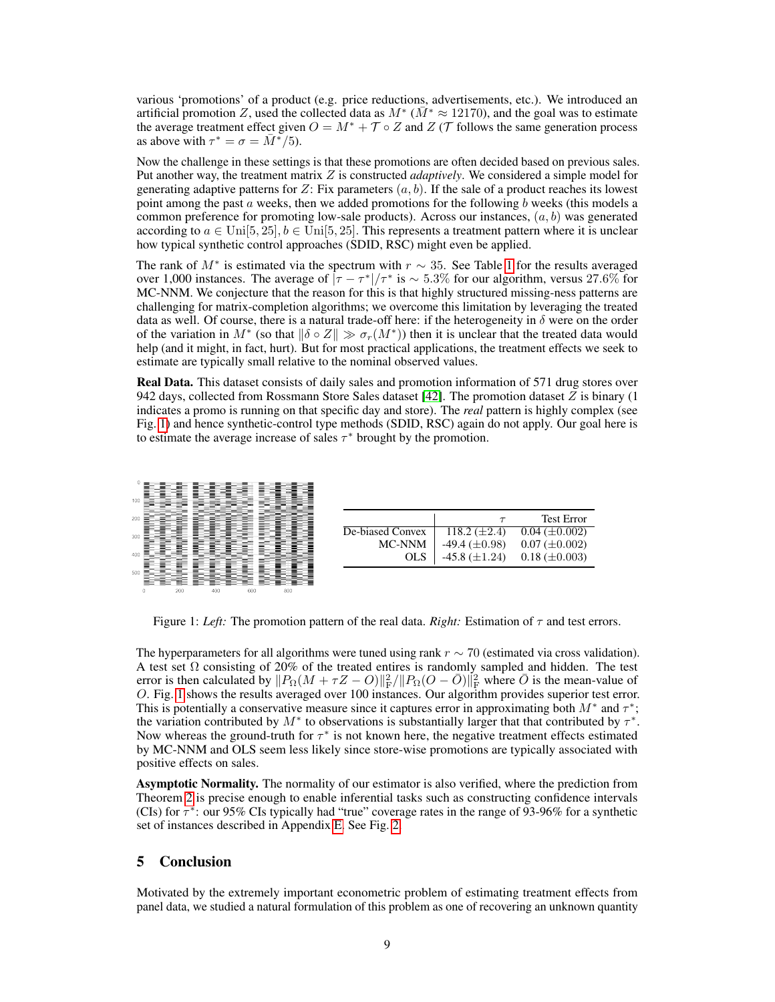various 'promotions' of a product (e.g. price reductions, advertisements, etc.). We introduced an artificial promotion Z, used the collected data as  $M^*$  ( $\overline{M}^* \approx 12170$ ), and the goal was to estimate the average treatment effect given  $O = M^* + \mathcal{T} \circ Z$  and  $Z(\mathcal{T})$  follows the same generation process as above with  $\tau^* = \sigma = \overline{M^*}/5$ .

Now the challenge in these settings is that these promotions are often decided based on previous sales. Put another way, the treatment matrix Z is constructed *adaptively*. We considered a simple model for generating adaptive patterns for Z: Fix parameters  $(a, b)$ . If the sale of a product reaches its lowest point among the past  $a$  weeks, then we added promotions for the following  $b$  weeks (this models a common preference for promoting low-sale products). Across our instances,  $(a, b)$  was generated according to  $a \in \text{Uni}[5, 25], b \in \text{Uni}[5, 25]$ . This represents a treatment pattern where it is unclear how typical synthetic control approaches (SDID, RSC) might even be applied.

The rank of  $M^*$  is estimated via the spectrum with  $r \sim 35$ . See Table [1](#page-7-2) for the results averaged over 1,000 instances. The average of  $|\tau - \tau^*|/\tau^*$  is  $\sim 5.3\%$  for our algorithm, versus 27.6% for MC-NNM. We conjecture that the reason for this is that highly structured missing-ness patterns are challenging for matrix-completion algorithms; we overcome this limitation by leveraging the treated data as well. Of course, there is a natural trade-off here: if the heterogeneity in  $\delta$  were on the order of the variation in M<sup>\*</sup> (so that  $\|\delta \circ Z\| \gg \sigma_r(M^*))$  then it is unclear that the treated data would help (and it might, in fact, hurt). But for most practical applications, the treatment effects we seek to estimate are typically small relative to the nominal observed values.

Real Data. This dataset consists of daily sales and promotion information of 571 drug stores over 942 days, collected from Rossmann Store Sales dataset [\[42\]](#page-11-16). The promotion dataset Z is binary (1 indicates a promo is running on that specific day and store). The *real* pattern is highly complex (see Fig. [1\)](#page-8-0) and hence synthetic-control type methods (SDID, RSC) again do not apply. Our goal here is to estimate the average increase of sales  $\tau^*$  brought by the promotion.

<span id="page-8-0"></span>

|                  | $\tau$               | <b>Test Error</b>    |
|------------------|----------------------|----------------------|
| De-biased Convex | 118.2 $(\pm 2.4)$    | $0.04 \ (\pm 0.002)$ |
| MC-NNM           | $-49.4 \ (\pm 0.98)$ | $0.07 \ (\pm 0.002)$ |
| OLS.             | $-45.8 (\pm 1.24)$   | $0.18 \ (\pm 0.003)$ |

Figure 1: *Left:* The promotion pattern of the real data. *Right:* Estimation of  $\tau$  and test errors.

The hyperparameters for all algorithms were tuned using rank  $r \sim 70$  (estimated via cross validation). A test set  $\Omega$  consisting of 20% of the treated entires is randomly sampled and hidden. The test error is then calculated by  $||P_{\Omega}(M + \tau Z - O)||_F^2 / ||P_{\Omega}(O - \bar{O})||_F^2$  where  $\bar{O}$  is the mean-value of O. Fig. [1](#page-8-0) shows the results averaged over 100 instances. Our algorithm provides superior test error. This is potentially a conservative measure since it captures error in approximating both  $M^*$  and  $\tau^*$ ; the variation contributed by  $M^*$  to observations is substantially larger that that contributed by  $\tau^*$ . Now whereas the ground-truth for  $\tau^*$  is not known here, the negative treatment effects estimated by MC-NNM and OLS seem less likely since store-wise promotions are typically associated with positive effects on sales.

Asymptotic Normality. The normality of our estimator is also verified, where the prediction from Theorem [2](#page-5-1) is precise enough to enable inferential tasks such as constructing confidence intervals (CIs) for  $\tau^*$ : our 95% CIs typically had "true" coverage rates in the range of 93-96% for a synthetic set of instances described in Appendix [E.](#page--1-4) See Fig. [2.](#page-9-5)

# 5 Conclusion

Motivated by the extremely important econometric problem of estimating treatment effects from panel data, we studied a natural formulation of this problem as one of recovering an unknown quantity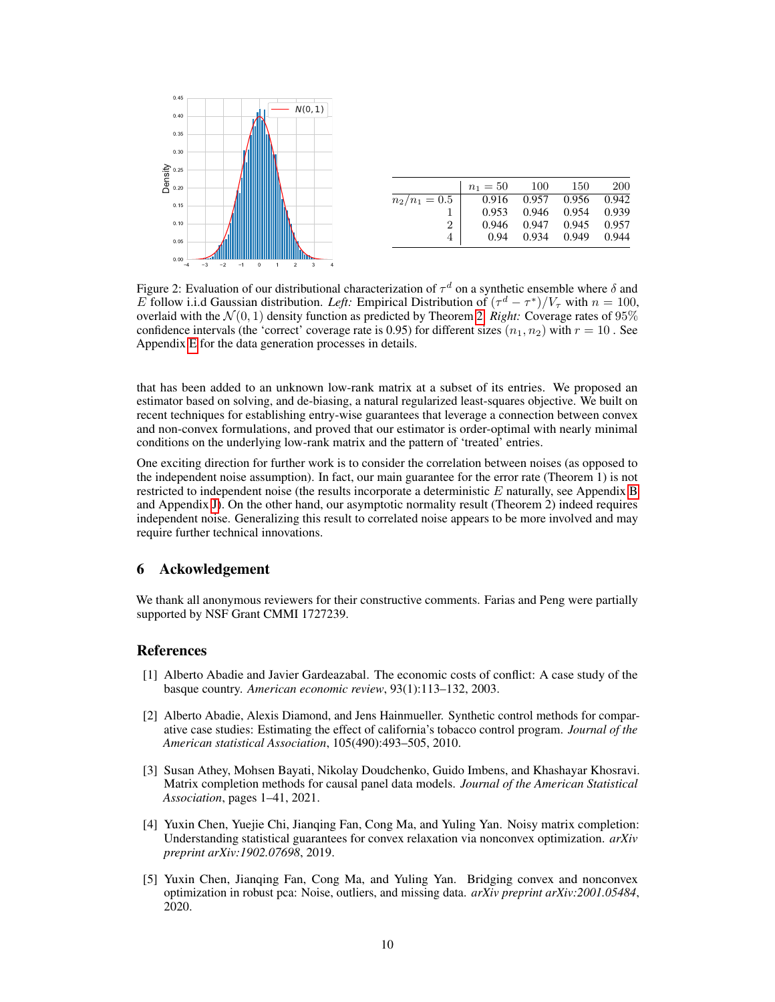<span id="page-9-5"></span>

|                 | $n_1 = 50$ | 100   | 150   | 200   |
|-----------------|------------|-------|-------|-------|
| $n_2/n_1 = 0.5$ | 0.916      | 0.957 | 0.956 | 0.942 |
|                 | 0.953      | 0.946 | 0.954 | 0.939 |
| 2               | 0.946      | 0.947 | 0.945 | 0.957 |
| 4               | 0.94       | 0.934 | 0.949 | 0.944 |
|                 |            |       |       |       |

Figure 2: Evaluation of our distributional characterization of  $\tau^d$  on a synthetic ensemble where  $\delta$  and E follow i.i.d Gaussian distribution. Left: Empirical Distribution of  $(\tau^d - \tau^*)/V_{\tau}$  with  $n = 100$ , overlaid with the  $\mathcal{N}(0, 1)$  density function as predicted by Theorem [2.](#page-5-1) *Right:* Coverage rates of 95% confidence intervals (the 'correct' coverage rate is 0.95) for different sizes  $(n_1, n_2)$  with  $r = 10$ . See Appendix [E](#page--1-4) for the data generation processes in details.

that has been added to an unknown low-rank matrix at a subset of its entries. We proposed an estimator based on solving, and de-biasing, a natural regularized least-squares objective. We built on recent techniques for establishing entry-wise guarantees that leverage a connection between convex and non-convex formulations, and proved that our estimator is order-optimal with nearly minimal conditions on the underlying low-rank matrix and the pattern of 'treated' entries.

One exciting direction for further work is to consider the correlation between noises (as opposed to the independent noise assumption). In fact, our main guarantee for the error rate (Theorem 1) is not restricted to independent noise (the results incorporate a deterministic  $E$  naturally, see Appendix [B](#page--1-5) and Appendix [J\)](#page--1-6). On the other hand, our asymptotic normality result (Theorem 2) indeed requires independent noise. Generalizing this result to correlated noise appears to be more involved and may require further technical innovations.

## 6 Ackowledgement

We thank all anonymous reviewers for their constructive comments. Farias and Peng were partially supported by NSF Grant CMMI 1727239.

## References

- <span id="page-9-0"></span>[1] Alberto Abadie and Javier Gardeazabal. The economic costs of conflict: A case study of the basque country. *American economic review*, 93(1):113–132, 2003.
- <span id="page-9-1"></span>[2] Alberto Abadie, Alexis Diamond, and Jens Hainmueller. Synthetic control methods for comparative case studies: Estimating the effect of california's tobacco control program. *Journal of the American statistical Association*, 105(490):493–505, 2010.
- <span id="page-9-2"></span>[3] Susan Athey, Mohsen Bayati, Nikolay Doudchenko, Guido Imbens, and Khashayar Khosravi. Matrix completion methods for causal panel data models. *Journal of the American Statistical Association*, pages 1–41, 2021.
- <span id="page-9-3"></span>[4] Yuxin Chen, Yuejie Chi, Jianqing Fan, Cong Ma, and Yuling Yan. Noisy matrix completion: Understanding statistical guarantees for convex relaxation via nonconvex optimization. *arXiv preprint arXiv:1902.07698*, 2019.
- <span id="page-9-4"></span>[5] Yuxin Chen, Jianqing Fan, Cong Ma, and Yuling Yan. Bridging convex and nonconvex optimization in robust pca: Noise, outliers, and missing data. *arXiv preprint arXiv:2001.05484*, 2020.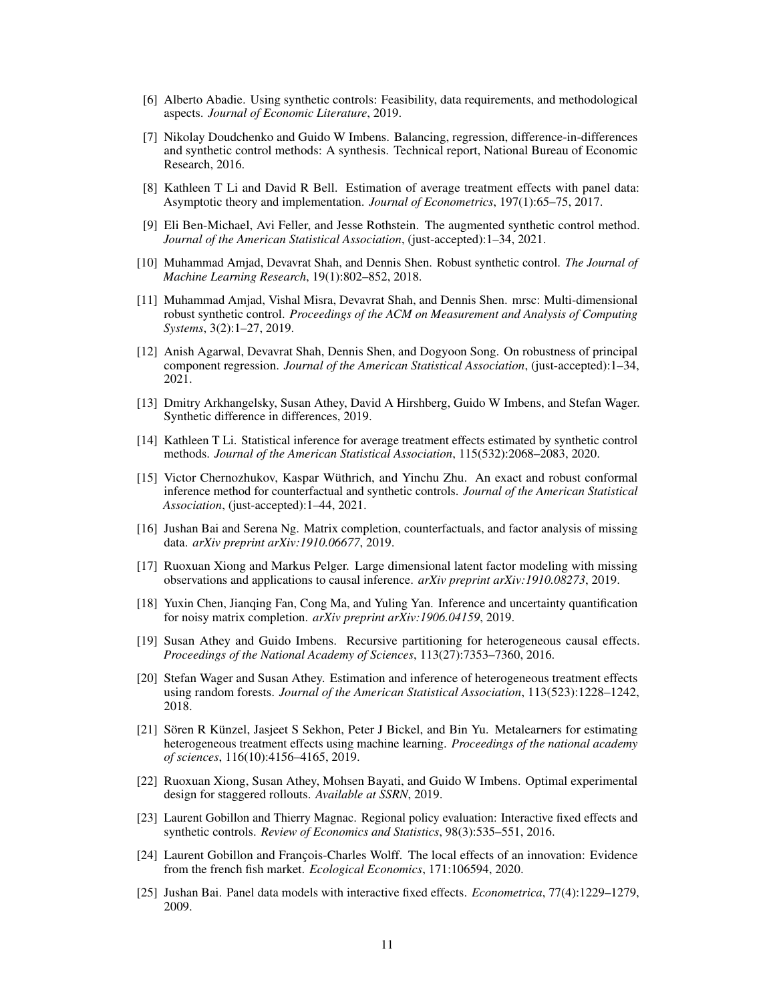- <span id="page-10-0"></span>[6] Alberto Abadie. Using synthetic controls: Feasibility, data requirements, and methodological aspects. *Journal of Economic Literature*, 2019.
- <span id="page-10-1"></span>[7] Nikolay Doudchenko and Guido W Imbens. Balancing, regression, difference-in-differences and synthetic control methods: A synthesis. Technical report, National Bureau of Economic Research, 2016.
- <span id="page-10-2"></span>[8] Kathleen T Li and David R Bell. Estimation of average treatment effects with panel data: Asymptotic theory and implementation. *Journal of Econometrics*, 197(1):65–75, 2017.
- <span id="page-10-3"></span>[9] Eli Ben-Michael, Avi Feller, and Jesse Rothstein. The augmented synthetic control method. *Journal of the American Statistical Association*, (just-accepted):1–34, 2021.
- <span id="page-10-4"></span>[10] Muhammad Amjad, Devavrat Shah, and Dennis Shen. Robust synthetic control. *The Journal of Machine Learning Research*, 19(1):802–852, 2018.
- <span id="page-10-5"></span>[11] Muhammad Amjad, Vishal Misra, Devavrat Shah, and Dennis Shen. mrsc: Multi-dimensional robust synthetic control. *Proceedings of the ACM on Measurement and Analysis of Computing Systems*, 3(2):1–27, 2019.
- <span id="page-10-6"></span>[12] Anish Agarwal, Devavrat Shah, Dennis Shen, and Dogyoon Song. On robustness of principal component regression. *Journal of the American Statistical Association*, (just-accepted):1–34, 2021.
- <span id="page-10-7"></span>[13] Dmitry Arkhangelsky, Susan Athey, David A Hirshberg, Guido W Imbens, and Stefan Wager. Synthetic difference in differences, 2019.
- <span id="page-10-8"></span>[14] Kathleen T Li. Statistical inference for average treatment effects estimated by synthetic control methods. *Journal of the American Statistical Association*, 115(532):2068–2083, 2020.
- <span id="page-10-9"></span>[15] Victor Chernozhukov, Kaspar Wüthrich, and Yinchu Zhu. An exact and robust conformal inference method for counterfactual and synthetic controls. *Journal of the American Statistical Association*, (just-accepted):1–44, 2021.
- <span id="page-10-10"></span>[16] Jushan Bai and Serena Ng. Matrix completion, counterfactuals, and factor analysis of missing data. *arXiv preprint arXiv:1910.06677*, 2019.
- <span id="page-10-11"></span>[17] Ruoxuan Xiong and Markus Pelger. Large dimensional latent factor modeling with missing observations and applications to causal inference. *arXiv preprint arXiv:1910.08273*, 2019.
- <span id="page-10-12"></span>[18] Yuxin Chen, Jianqing Fan, Cong Ma, and Yuling Yan. Inference and uncertainty quantification for noisy matrix completion. *arXiv preprint arXiv:1906.04159*, 2019.
- <span id="page-10-13"></span>[19] Susan Athey and Guido Imbens. Recursive partitioning for heterogeneous causal effects. *Proceedings of the National Academy of Sciences*, 113(27):7353–7360, 2016.
- <span id="page-10-14"></span>[20] Stefan Wager and Susan Athey. Estimation and inference of heterogeneous treatment effects using random forests. *Journal of the American Statistical Association*, 113(523):1228–1242, 2018.
- <span id="page-10-15"></span>[21] Sören R Künzel, Jasjeet S Sekhon, Peter J Bickel, and Bin Yu. Metalearners for estimating heterogeneous treatment effects using machine learning. *Proceedings of the national academy of sciences*, 116(10):4156–4165, 2019.
- <span id="page-10-16"></span>[22] Ruoxuan Xiong, Susan Athey, Mohsen Bayati, and Guido W Imbens. Optimal experimental design for staggered rollouts. *Available at SSRN*, 2019.
- <span id="page-10-17"></span>[23] Laurent Gobillon and Thierry Magnac. Regional policy evaluation: Interactive fixed effects and synthetic controls. *Review of Economics and Statistics*, 98(3):535–551, 2016.
- <span id="page-10-18"></span>[24] Laurent Gobillon and François-Charles Wolff. The local effects of an innovation: Evidence from the french fish market. *Ecological Economics*, 171:106594, 2020.
- <span id="page-10-19"></span>[25] Jushan Bai. Panel data models with interactive fixed effects. *Econometrica*, 77(4):1229–1279, 2009.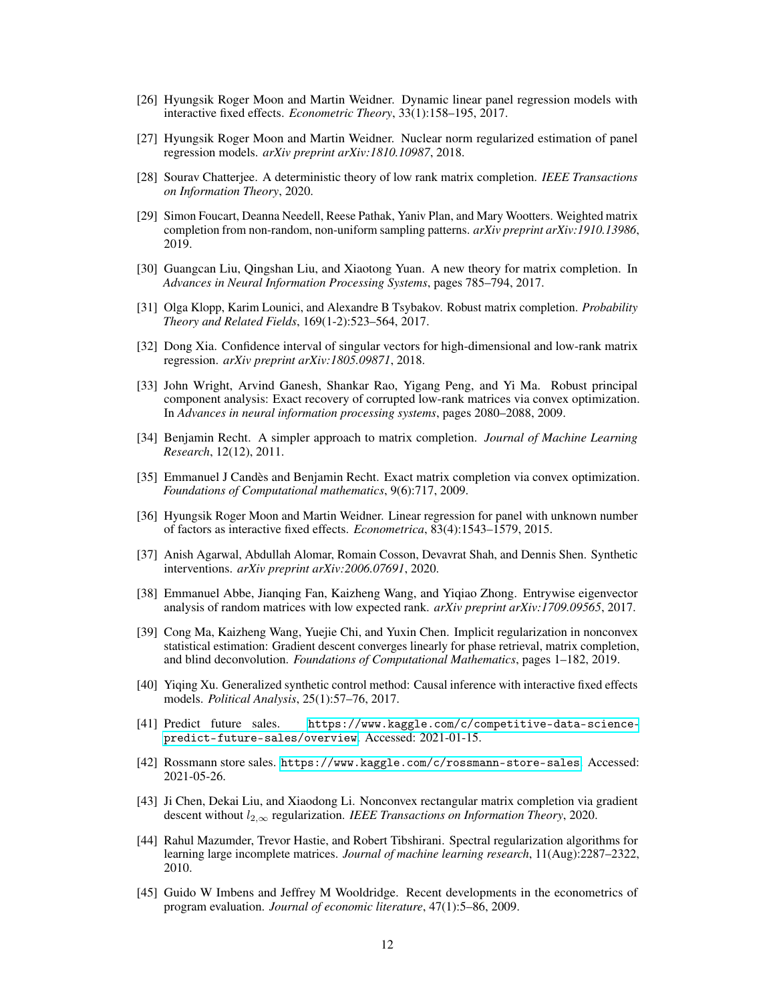- <span id="page-11-0"></span>[26] Hyungsik Roger Moon and Martin Weidner. Dynamic linear panel regression models with interactive fixed effects. *Econometric Theory*, 33(1):158–195, 2017.
- <span id="page-11-1"></span>[27] Hyungsik Roger Moon and Martin Weidner. Nuclear norm regularized estimation of panel regression models. *arXiv preprint arXiv:1810.10987*, 2018.
- <span id="page-11-2"></span>[28] Sourav Chatterjee. A deterministic theory of low rank matrix completion. *IEEE Transactions on Information Theory*, 2020.
- <span id="page-11-3"></span>[29] Simon Foucart, Deanna Needell, Reese Pathak, Yaniv Plan, and Mary Wootters. Weighted matrix completion from non-random, non-uniform sampling patterns. *arXiv preprint arXiv:1910.13986*, 2019.
- <span id="page-11-4"></span>[30] Guangcan Liu, Qingshan Liu, and Xiaotong Yuan. A new theory for matrix completion. In *Advances in Neural Information Processing Systems*, pages 785–794, 2017.
- <span id="page-11-5"></span>[31] Olga Klopp, Karim Lounici, and Alexandre B Tsybakov. Robust matrix completion. *Probability Theory and Related Fields*, 169(1-2):523–564, 2017.
- <span id="page-11-6"></span>[32] Dong Xia. Confidence interval of singular vectors for high-dimensional and low-rank matrix regression. *arXiv preprint arXiv:1805.09871*, 2018.
- <span id="page-11-7"></span>[33] John Wright, Arvind Ganesh, Shankar Rao, Yigang Peng, and Yi Ma. Robust principal component analysis: Exact recovery of corrupted low-rank matrices via convex optimization. In *Advances in neural information processing systems*, pages 2080–2088, 2009.
- <span id="page-11-8"></span>[34] Benjamin Recht. A simpler approach to matrix completion. *Journal of Machine Learning Research*, 12(12), 2011.
- <span id="page-11-9"></span>[35] Emmanuel J Candès and Benjamin Recht. Exact matrix completion via convex optimization. *Foundations of Computational mathematics*, 9(6):717, 2009.
- <span id="page-11-10"></span>[36] Hyungsik Roger Moon and Martin Weidner. Linear regression for panel with unknown number of factors as interactive fixed effects. *Econometrica*, 83(4):1543–1579, 2015.
- <span id="page-11-11"></span>[37] Anish Agarwal, Abdullah Alomar, Romain Cosson, Devavrat Shah, and Dennis Shen. Synthetic interventions. *arXiv preprint arXiv:2006.07691*, 2020.
- <span id="page-11-12"></span>[38] Emmanuel Abbe, Jianqing Fan, Kaizheng Wang, and Yiqiao Zhong. Entrywise eigenvector analysis of random matrices with low expected rank. *arXiv preprint arXiv:1709.09565*, 2017.
- <span id="page-11-13"></span>[39] Cong Ma, Kaizheng Wang, Yuejie Chi, and Yuxin Chen. Implicit regularization in nonconvex statistical estimation: Gradient descent converges linearly for phase retrieval, matrix completion, and blind deconvolution. *Foundations of Computational Mathematics*, pages 1–182, 2019.
- <span id="page-11-14"></span>[40] Yiqing Xu. Generalized synthetic control method: Causal inference with interactive fixed effects models. *Political Analysis*, 25(1):57–76, 2017.
- <span id="page-11-15"></span>[41] Predict future sales. [https://www.kaggle.com/c/competitive-data-science](https://www.kaggle.com/c/competitive-data-science-predict-future-sales/overview)[predict-future-sales/overview](https://www.kaggle.com/c/competitive-data-science-predict-future-sales/overview). Accessed: 2021-01-15.
- <span id="page-11-16"></span>[42] Rossmann store sales. <https://www.kaggle.com/c/rossmann-store-sales>. Accessed: 2021-05-26.
- [43] Ji Chen, Dekai Liu, and Xiaodong Li. Nonconvex rectangular matrix completion via gradient descent without l2,<sup>∞</sup> regularization. *IEEE Transactions on Information Theory*, 2020.
- [44] Rahul Mazumder, Trevor Hastie, and Robert Tibshirani. Spectral regularization algorithms for learning large incomplete matrices. *Journal of machine learning research*, 11(Aug):2287–2322, 2010.
- [45] Guido W Imbens and Jeffrey M Wooldridge. Recent developments in the econometrics of program evaluation. *Journal of economic literature*, 47(1):5–86, 2009.